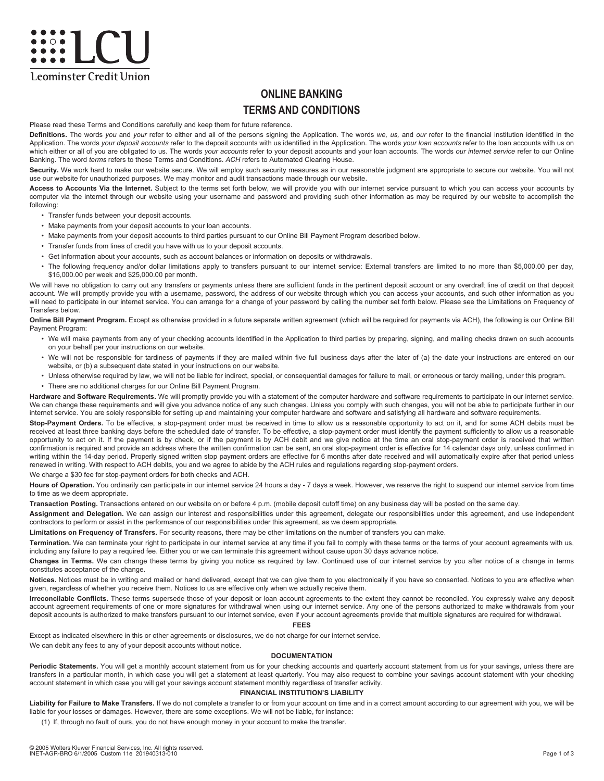# <u>exact</u> **Leominster Credit Union**

## **ONLINE BANKING TERMS AND CONDITIONS**

Please read these Terms and Conditions carefully and keep them for future reference.

**Definitions.** The words *you* and *your* refer to either and all of the persons signing the Application. The words *we, us,* and *our* refer to the financial institution identified in the Application. The words *your deposit accounts* refer to the deposit accounts with us identified in the Application. The words *your loan accounts* refer to the loan accounts with us on which either or all of you are obligated to us. The words *your accounts* refer to your deposit accounts and your loan accounts. The words *our internet service* refer to our Online Banking. The word *terms* refers to these Terms and Conditions. *ACH* refers to Automated Clearing House.

Security. We work hard to make our website secure. We will employ such security measures as in our reasonable judgment are appropriate to secure our website. You will not use our website for unauthorized purposes. We may monitor and audit transactions made through our website.

**Access to Accounts Via the Internet.** Subject to the terms set forth below, we will provide you with our internet service pursuant to which you can access your accounts by computer via the internet through our website using your username and password and providing such other information as may be required by our website to accomplish the following:

- Transfer funds between your deposit accounts.
- Make payments from your deposit accounts to your loan accounts.
- Make payments from your deposit accounts to third parties pursuant to our Online Bill Payment Program described below.
- Transfer funds from lines of credit you have with us to your deposit accounts.
- Get information about your accounts, such as account balances or information on deposits or withdrawals.
- The following frequency and/or dollar limitations apply to transfers pursuant to our internet service: External transfers are limited to no more than \$5,000.00 per day, \$15,000.00 per week and \$25,000.00 per month.

We will have no obligation to carry out any transfers or payments unless there are sufficient funds in the pertinent deposit account or any overdraft line of credit on that deposit account. We will promptly provide you with a username, password, the address of our website through which you can access your accounts, and such other information as you will need to participate in our internet service. You can arrange for a change of your password by calling the number set forth below. Please see the Limitations on Frequency of Transfers below.

**Online Bill Payment Program.** Except as otherwise provided in a future separate written agreement (which will be required for payments via ACH), the following is our Online Bill Payment Program:

- We will make payments from any of your checking accounts identified in the Application to third parties by preparing, signing, and mailing checks drawn on such accounts on your behalf per your instructions on our website.
- We will not be responsible for tardiness of payments if they are mailed within five full business days after the later of (a) the date your instructions are entered on our website, or (b) a subsequent date stated in your instructions on our website.
- Unless otherwise required by law, we will not be liable for indirect, special, or consequential damages for failure to mail, or erroneous or tardy mailing, under this program.
- There are no additional charges for our Online Bill Payment Program.

Hardware and Software Requirements. We will promptly provide you with a statement of the computer hardware and software requirements to participate in our internet service. We can change these requirements and will give you advance notice of any such changes. Unless you comply with such changes, you will not be able to participate further in our internet service. You are solely responsible for setting up and maintaining your computer hardware and software and satisfying all hardware and software requirements.

**Stop-Payment Orders.** To be effective, a stop-payment order must be received in time to allow us a reasonable opportunity to act on it, and for some ACH debits must be received at least three banking days before the scheduled date of transfer. To be effective, a stop-payment order must identify the payment sufficiently to allow us a reasonable opportunity to act on it. If the payment is by check, or if the payment is by ACH debit and we give notice at the time an oral stop-payment order is received that written confirmation is required and provide an address where the written confirmation can be sent, an oral stop-payment order is effective for 14 calendar days only, unless confirmed in writing within the 14-day period. Properly signed written stop payment orders are effective for 6 months after date received and will automatically expire after that period unless renewed in writing. With respect to ACH debits, you and we agree to abide by the ACH rules and regulations regarding stop-payment orders.

We charge a \$30 fee for stop-payment orders for both checks and ACH.

Hours of Operation. You ordinarily can participate in our internet service 24 hours a day - 7 days a week. However, we reserve the right to suspend our internet service from time to time as we deem appropriate.

**Transaction Posting.** Transactions entered on our website on or before 4 p.m. (mobile deposit cutoff time) on any business day will be posted on the same day.

Assignment and Delegation. We can assign our interest and responsibilities under this agreement, delegate our responsibilities under this agreement, and use independent contractors to perform or assist in the performance of our responsibilities under this agreement, as we deem appropriate.

**Limitations on Frequency of Transfers.** For security reasons, there may be other limitations on the number of transfers you can make.

Termination. We can terminate your right to participate in our internet service at any time if you fail to comply with these terms or the terms of your account agreements with us, including any failure to pay a required fee. Either you or we can terminate this agreement without cause upon 30 days advance notice.

**Changes in Terms.** We can change these terms by giving you notice as required by law. Continued use of our internet service by you after notice of a change in terms constitutes acceptance of the change.

**Notices.** Notices must be in writing and mailed or hand delivered, except that we can give them to you electronically if you have so consented. Notices to you are effective when given, regardless of whether you receive them. Notices to us are effective only when we actually receive them.

**Irreconcilable Conflicts.** These terms supersede those of your deposit or loan account agreements to the extent they cannot be reconciled. You expressly waive any deposit account agreement requirements of one or more signatures for withdrawal when using our internet service. Any one of the persons authorized to make withdrawals from your deposit accounts is authorized to make transfers pursuant to our internet service, even if your account agreements provide that multiple signatures are required for withdrawal.

#### **FEES**

Except as indicated elsewhere in this or other agreements or disclosures, we do not charge for our internet service.

We can debit any fees to any of your deposit accounts without notice.

#### **DOCUMENTATION**

Periodic Statements. You will get a monthly account statement from us for your checking accounts and quarterly account statement from us for your savings, unless there are transfers in a particular month, in which case you will get a statement at least quarterly. You may also request to combine your savings account statement with your checking account statement in which case you will get your savings account statement monthly regardless of transfer activity.

#### **FINANCIAL INSTITUTION'S LIABILITY**

Liability for Failure to Make Transfers. If we do not complete a transfer to or from your account on time and in a correct amount according to our agreement with you, we will be liable for your losses or damages. However, there are some exceptions. We will not be liable, for instance:

(1) If, through no fault of ours, you do not have enough money in your account to make the transfer.